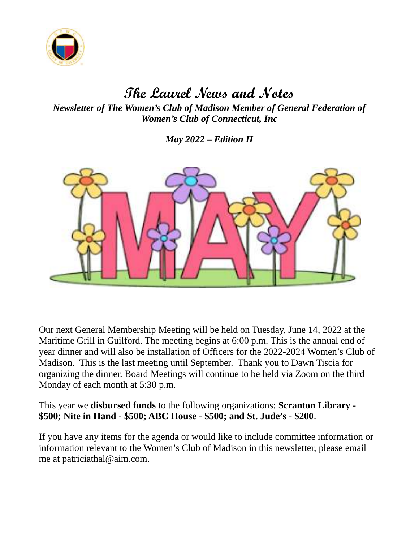

# The Laurel News and Notes

Newsletter of The Women's Club of Madison Member of General Federation of Women's Club of Connecticut, Inc

May 2022 – Edition II



Our next General Membership Meeting will be held on Tuesday, June 14, 2022 at the Maritime Grill in Guilford. The meeting begins at 6:00 p.m. This is the annual end of year dinner and will also be installation of Officers for the 2022-2024 Women's Club of Madison. This is the last meeting until September. Thank you to Dawn Tiscia for organizing the dinner. Board Meetings will continue to be held via Zoom on the third Monday of each month at 5:30 p.m.

This year we **disbursed funds** to the following organizations: **Scranton Library** -\$500; Nite in Hand - \$500; ABC House - \$500; and St. Jude's - \$200.

If you have any items for the agenda or would like to include committee information or information relevant to the Women's Club of Madison in this newsletter, please email me at patriciathal@aim.com.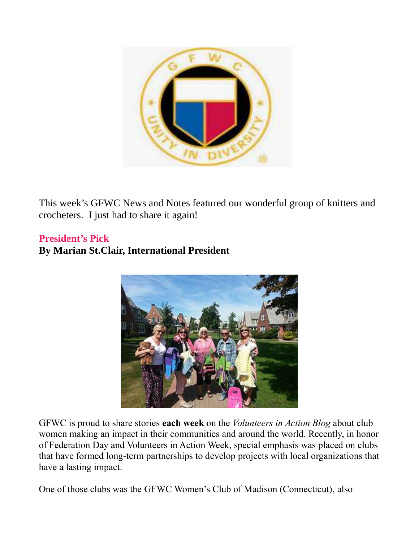

This week's GFWC News and Notes featured our wonderful group of knitters and crocheters. I just had to share it again!

#### President's Pick

### By Marian St.Clair, International President



GFWC is proud to share stories each week on the *Volunteers in Action Blog* about club women making an impact in their communities and around the world. Recently, in honor of Federation Day and Volunteers in Action Week, special emphasis was placed on clubs that have formed long-term partnerships to develop projects with local organizations that have a lasting impact.

One of those clubs was the GFWC Women's Club of Madison (Connecticut), also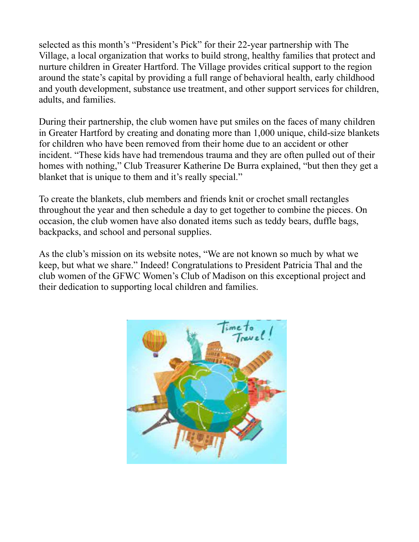selected as this month's "President's Pick" for their 22-year partnership with The Village, a local organization that works to build strong, healthy families that protect and nurture children in Greater Hartford. The Village provides critical support to the region around the state's capital by providing a full range of behavioral health, early childhood and youth development, substance use treatment, and other support services for children, adults, and families.

During their partnership, the club women have put smiles on the faces of many children in Greater Hartford by creating and donating more than 1,000 unique, child-size blankets for children who have been removed from their home due to an accident or other incident. "These kids have had tremendous trauma and they are often pulled out of their homes with nothing," Club Treasurer Katherine De Burra explained, "but then they get a blanket that is unique to them and it's really special."

To create the blankets, club members and friends knit or crochet small rectangles throughout the year and then schedule a day to get together to combine the pieces. On occasion, the club women have also donated items such as teddy bears, duffle bags, backpacks, and school and personal supplies.

As the club's mission on its website notes, "We are not known so much by what we keep, but what we share." Indeed! Congratulations to President Patricia Thal and the club women of the GFWC Women's Club of Madison on this exceptional project and their dedication to supporting local children and families.

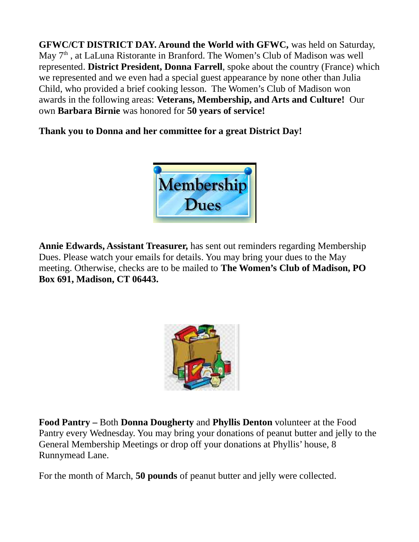GFWC/CT DISTRICT DAY. Around the World with GFWC, was held on Saturday, May  $7<sup>th</sup>$ , at LaLuna Ristorante in Branford. The Women's Club of Madison was well represented. District President, Donna Farrell, spoke about the country (France) which we represented and we even had a special guest appearance by none other than Julia Child, who provided a brief cooking lesson. The Women's Club of Madison won awards in the following areas: Veterans, Membership, and Arts and Culture! Our own Barbara Birnie was honored for 50 years of service!

Thank you to Donna and her committee for a great District Day!



Annie Edwards, Assistant Treasurer, has sent out reminders regarding Membership Dues. Please watch your emails for details. You may bring your dues to the May meeting. Otherwise, checks are to be mailed to The Women's Club of Madison, PO Box 691, Madison, CT 06443.



Food Pantry – Both Donna Dougherty and Phyllis Denton volunteer at the Food Pantry every Wednesday. You may bring your donations of peanut butter and jelly to the General Membership Meetings or drop off your donations at Phyllis' house, 8 Runnymead Lane.

For the month of March, 50 pounds of peanut butter and jelly were collected.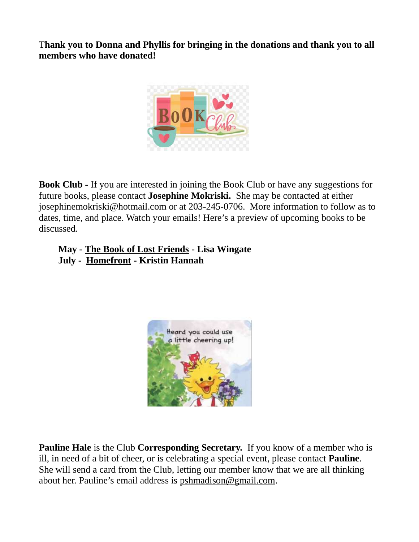Thank you to Donna and Phyllis for bringing in the donations and thank you to all members who have donated!



Book Club - If you are interested in joining the Book Club or have any suggestions for future books, please contact Josephine Mokriski. She may be contacted at either josephinemokriski@hotmail.com or at 203-245-0706. More information to follow as to dates, time, and place. Watch your emails! Here's a preview of upcoming books to be discussed.

#### May - The Book of Lost Friends - Lisa Wingate July - Homefront - Kristin Hannah



Pauline Hale is the Club Corresponding Secretary. If you know of a member who is ill, in need of a bit of cheer, or is celebrating a special event, please contact **Pauline**. She will send a card from the Club, letting our member know that we are all thinking about her. Pauline's email address is pshmadison@gmail.com.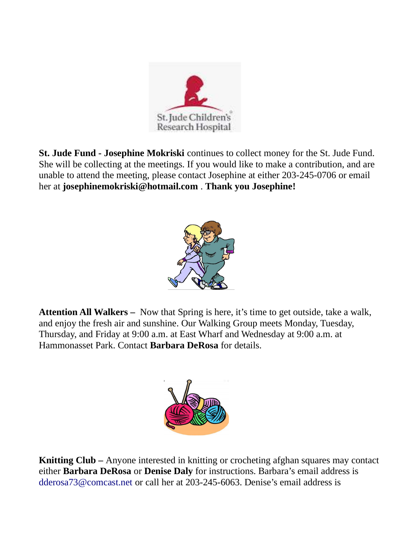

**St. Jude Fund - Josephine Mokriski** continues to collect money for the St. Jude Fund. She will be collecting at the meetings. If you would like to make a contribution, and are unable to attend the meeting, please contact Josephine at either 203-245-0706 or email her at josephinemokriski@hotmail.com . Thank you Josephine!



Attention All Walkers – Now that Spring is here, it's time to get outside, take a walk, and enjoy the fresh air and sunshine. Our Walking Group meets Monday, Tuesday, Thursday, and Friday at 9:00 a.m. at East Wharf and Wednesday at 9:00 a.m. at Hammonasset Park. Contact Barbara DeRosa for details.



Knitting Club – Anyone interested in knitting or crocheting afghan squares may contact either Barbara DeRosa or Denise Daly for instructions. Barbara's email address is dderosa73@comcast.net or call her at 203-245-6063. Denise's email address is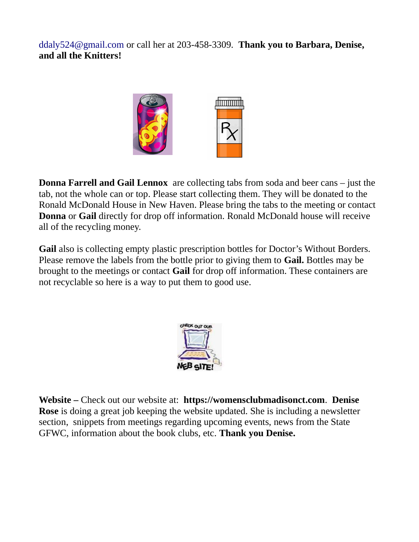ddaly524@gmail.com or call her at 203-458-3309. Thank you to Barbara, Denise, and all the Knitters!



**Donna Farrell and Gail Lennox** are collecting tabs from soda and beer cans – just the tab, not the whole can or top. Please start collecting them. They will be donated to the Ronald McDonald House in New Haven. Please bring the tabs to the meeting or contact Donna or Gail directly for drop off information. Ronald McDonald house will receive all of the recycling money.

Gail also is collecting empty plastic prescription bottles for Doctor's Without Borders. Please remove the labels from the bottle prior to giving them to **Gail.** Bottles may be brought to the meetings or contact **Gail** for drop off information. These containers are not recyclable so here is a way to put them to good use.



Website – Check out our website at: https://womensclubmadisonct.com. Denise Rose is doing a great job keeping the website updated. She is including a newsletter section, snippets from meetings regarding upcoming events, news from the State GFWC, information about the book clubs, etc. Thank you Denise.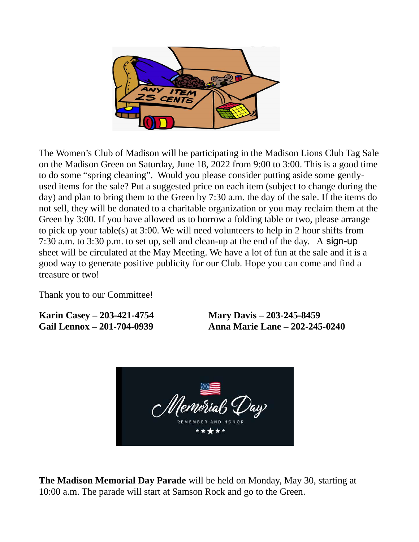

The Women's Club of Madison will be participating in the Madison Lions Club Tag Sale on the Madison Green on Saturday, June 18, 2022 from 9:00 to 3:00. This is a good time to do some "spring cleaning". Would you please consider putting aside some gentlyused items for the sale? Put a suggested price on each item (subject to change during the day) and plan to bring them to the Green by 7:30 a.m. the day of the sale. If the items do not sell, they will be donated to a charitable organization or you may reclaim them at the Green by 3:00. If you have allowed us to borrow a folding table or two, please arrange to pick up your table(s) at 3:00. We will need volunteers to help in 2 hour shifts from 7:30 a.m. to 3:30 p.m. to set up, sell and clean-up at the end of the day. A sign-up sheet will be circulated at the May Meeting. We have a lot of fun at the sale and it is a good way to generate positive publicity for our Club. Hope you can come and find a treasure or two!

Thank you to our Committee!

Karin Casey – 203-421-4754 Mary Davis – 203-245-8459

Gail Lennox – 201-704-0939 Anna Marie Lane – 202-245-0240



**The Madison Memorial Day Parade** will be held on Monday, May 30, starting at 10:00 a.m. The parade will start at Samson Rock and go to the Green.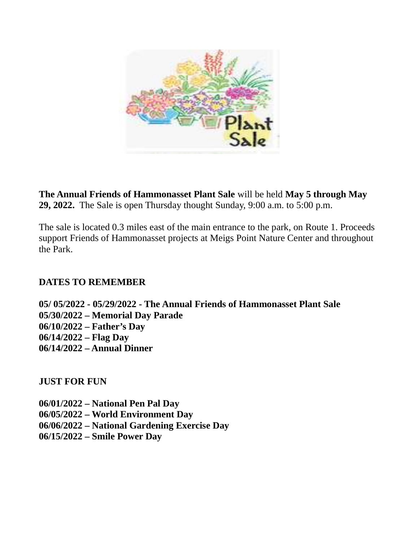

The Annual Friends of Hammonasset Plant Sale will be held May 5 through May 29, 2022. The Sale is open Thursday thought Sunday, 9:00 a.m. to 5:00 p.m.

The sale is located 0.3 miles east of the main entrance to the park, on Route 1. Proceeds support Friends of Hammonasset projects at Meigs Point Nature Center and throughout the Park.

#### DATES TO REMEMBER

05/ 05/2022 - 05/29/2022 - The Annual Friends of Hammonasset Plant Sale 05/30/2022 – Memorial Day Parade 06/10/2022 – Father's Day 06/14/2022 – Flag Day 06/14/2022 – Annual Dinner

JUST FOR FUN

06/01/2022 – National Pen Pal Day 06/05/2022 – World Environment Day 06/06/2022 – National Gardening Exercise Day 06/15/2022 – Smile Power Day